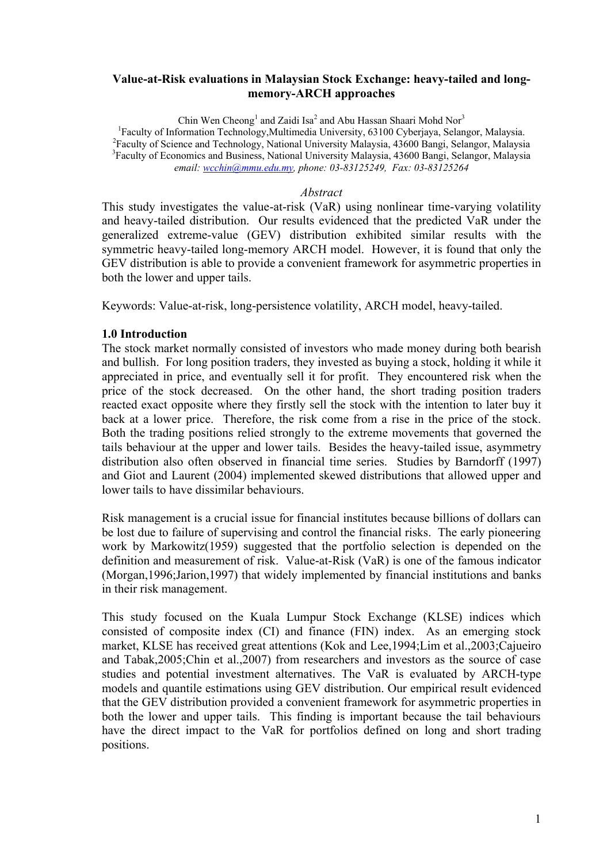## **Value-at-Risk evaluations in Malaysian Stock Exchange: heavy-tailed and longmemory-ARCH approaches**

Chin Wen Cheong<sup>1</sup> and Zaidi Isa<sup>2</sup> and Abu Hassan Shaari Mohd Nor<sup>3</sup> <sup>1</sup>Faculty of Information Technology, Multimedia University, 63100 Cyberjaya, Selangor, Malaysia. <sup>2</sup> Faculty of Science and Technology, National University Malaysia, 43600 Bangi, Selangor, Malaysia <sup>3</sup> Faculty of Economics and Business, National University Malaysia, 43600 Bangi, Selangor, Malaysia *email: wcchin@mmu.edu.my, phone: 03-83125249, Fax: 03-83125264*

### *Abstract*

This study investigates the value-at-risk (VaR) using nonlinear time-varying volatility and heavy-tailed distribution. Our results evidenced that the predicted VaR under the generalized extreme-value (GEV) distribution exhibited similar results with the symmetric heavy-tailed long-memory ARCH model. However, it is found that only the GEV distribution is able to provide a convenient framework for asymmetric properties in both the lower and upper tails.

Keywords: Value-at-risk, long-persistence volatility, ARCH model, heavy-tailed.

# **1.0 Introduction**

The stock market normally consisted of investors who made money during both bearish and bullish. For long position traders, they invested as buying a stock, holding it while it appreciated in price, and eventually sell it for profit. They encountered risk when the price of the stock decreased. On the other hand, the short trading position traders reacted exact opposite where they firstly sell the stock with the intention to later buy it back at a lower price. Therefore, the risk come from a rise in the price of the stock. Both the trading positions relied strongly to the extreme movements that governed the tails behaviour at the upper and lower tails. Besides the heavy-tailed issue, asymmetry distribution also often observed in financial time series. Studies by Barndorff (1997) and Giot and Laurent (2004) implemented skewed distributions that allowed upper and lower tails to have dissimilar behaviours.

Risk management is a crucial issue for financial institutes because billions of dollars can be lost due to failure of supervising and control the financial risks. The early pioneering work by Markowitz(1959) suggested that the portfolio selection is depended on the definition and measurement of risk. Value-at-Risk (VaR) is one of the famous indicator (Morgan,1996;Jarion,1997) that widely implemented by financial institutions and banks in their risk management.

This study focused on the Kuala Lumpur Stock Exchange (KLSE) indices which consisted of composite index (CI) and finance (FIN) index. As an emerging stock market, KLSE has received great attentions (Kok and Lee,1994;Lim et al.,2003;Cajueiro and Tabak,2005;Chin et al.,2007) from researchers and investors as the source of case studies and potential investment alternatives. The VaR is evaluated by ARCH-type models and quantile estimations using GEV distribution. Our empirical result evidenced that the GEV distribution provided a convenient framework for asymmetric properties in both the lower and upper tails. This finding is important because the tail behaviours have the direct impact to the VaR for portfolios defined on long and short trading positions.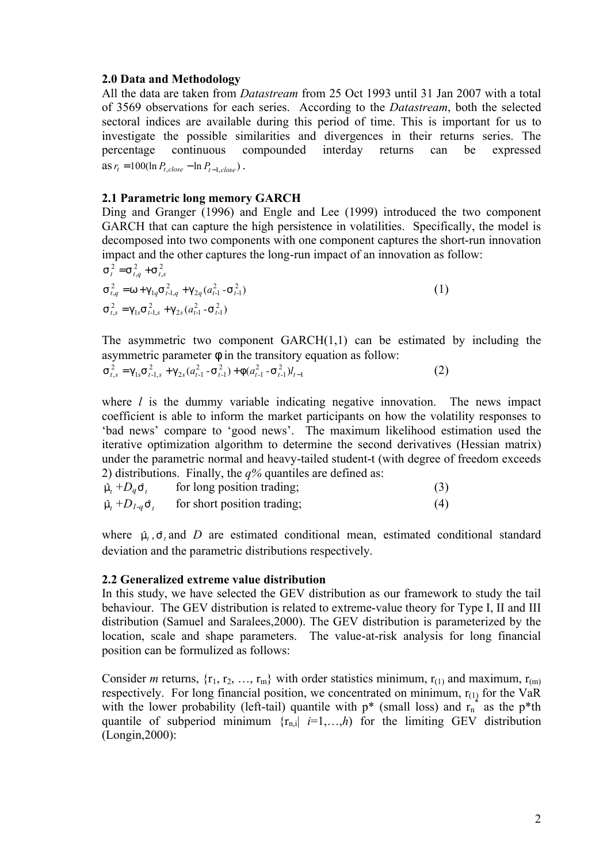## **2.0 Data and Methodology**

All the data are taken from *Datastream* from 25 Oct 1993 until 31 Jan 2007 with a total of 3569 observations for each series. According to the *Datastream*, both the selected sectoral indices are available during this period of time. This is important for us to investigate the possible similarities and divergences in their returns series. The percentage continuous compounded interday returns can be expressed  $\text{as } r_t = 100(\ln P_{t, close} - \ln P_{t-1, close})$ .

### **2.1 Parametric long memory GARCH**

Ding and Granger (1996) and Engle and Lee (1999) introduced the two component GARCH that can capture the high persistence in volatilities. Specifically, the model is decomposed into two components with one component captures the short-run innovation impact and the other captures the long-run impact of an innovation as follow:

$$
s_{t}^{2} = s_{t,q}^{2} + s_{t,s}^{2}
$$
  
\n
$$
s_{t,q}^{2} = w + g_{1q} s_{t-1,q}^{2} + g_{2q} (a_{t-1}^{2} - s_{t-1}^{2})
$$
  
\n
$$
s_{t,s}^{2} = g_{1s} s_{t-1,s}^{2} + g_{2s} (a_{t-1}^{2} - s_{t-1}^{2})
$$
\n(1)

The asymmetric two component  $GARCH(1,1)$  can be estimated by including the asymmetric parameter *f* in the transitory equation as follow:

$$
s_{t,s}^2 = g_{1s} s_{t-1,s}^2 + g_{2s} (a_{t-1}^2 - s_{t-1}^2) + f(a_{t-1}^2 - s_{t-1}^2) l_{t-1}
$$
 (2)

where *l* is the dummy variable indicating negative innovation. The news impact coefficient is able to inform the market participants on how the volatility responses to 'bad news' compare to 'good news'. The maximum likelihood estimation used the iterative optimization algorithm to determine the second derivatives (Hessian matrix) under the parametric normal and heavy-tailed student-t (with degree of freedom exceeds 2) distributions. Finally, the *q%* quantiles are defined as:

| $\hat{m}_t + D_q \hat{S}_t$                 | for long position trading;  | (3) |
|---------------------------------------------|-----------------------------|-----|
| $\hat{m}$ , $+D$ <sub>1-q</sub> $\hat{S}$ , | for short position trading; | (4) |

where  $\hat{m}_t$ ,  $\hat{s}_t$  and *D* are estimated conditional mean, estimated conditional standard deviation and the parametric distributions respectively.

#### **2.2 Generalized extreme value distribution**

In this study, we have selected the GEV distribution as our framework to study the tail behaviour. The GEV distribution is related to extreme-value theory for Type I, II and III distribution (Samuel and Saralees,2000). The GEV distribution is parameterized by the location, scale and shape parameters. The value-at-risk analysis for long financial position can be formulized as follows:

Consider *m* returns,  $\{r_1, r_2, ..., r_m\}$  with order statistics minimum,  $r_{(1)}$  and maximum,  $r_{(m)}$ respectively. For long financial position, we concentrated on minimum,  $r_{(1)}$  for the VaR with the lower probability (left-tail) quantile with  $p^*$  (small loss) and  $r_n^*$  as the  $p^*$ th quantile of subperiod minimum  $\{r_{n,i}\}\neq 1,\ldots,h$  for the limiting GEV distribution (Longin,2000):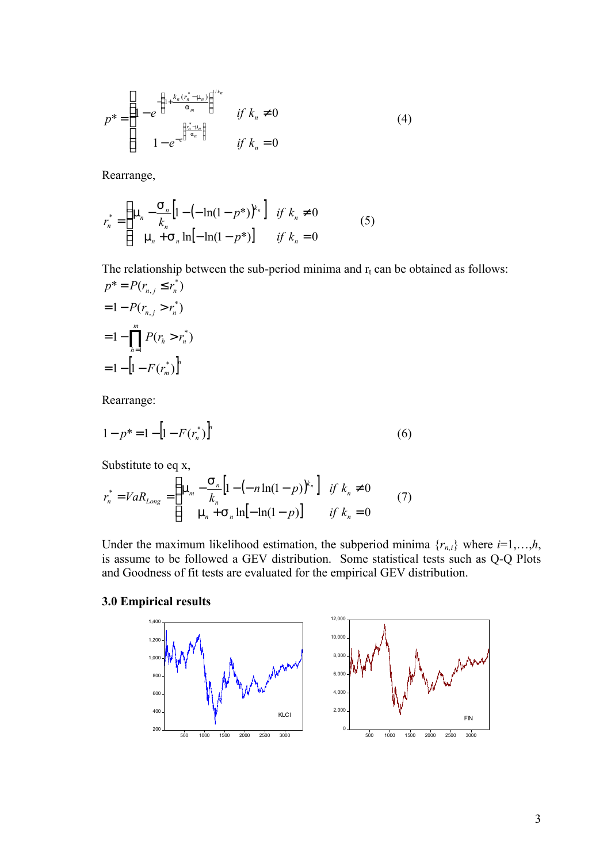$$
p^* = \begin{cases} 1 - e^{-\left(1 + \frac{k_n(r_n^* - m_n)}{a_m}\right)^{1/k_n}} & \text{if } k_n \neq 0\\ 1 - e^{-e^{\left(\frac{n^* - m_n}{a_n}\right)}} & \text{if } k_n = 0 \end{cases}
$$
 (4)

Rearrange,

$$
r_n^* = \begin{cases} \mathfrak{m}_n - \frac{S_n}{k_n} \left[ 1 - \left( -\ln(1 - p^*) \right)^{k_n} \right] & \text{if } k_n \neq 0 \\ \mathfrak{m}_n + S_n \ln[-\ln(1 - p^*)] & \text{if } k_n = 0 \end{cases} \tag{5}
$$

The relationship between the sub-period minima and  $r_t$  can be obtained as follows:  $p^* = P(r_{n,j} \le r_n^*)$  $= P(r_{n,j} \leq$ 

$$
= 1 - P(r_{n,j} > r_n^*)
$$
  
= 1 -  $\prod_{h=1}^{m} P(r_h > r_n^*)$   
= 1 - [1 - F(r\_m^\*)]^n

Rearrange:

$$
1 - p^* = 1 - \left[1 - F(r_n^*)\right]^n\tag{6}
$$

Substitute to eq x,

$$
r_n^* = VaR_{Long} = \begin{cases} \mathfrak{m}_m - \frac{S_n}{k_n} \Big[ 1 - (-n \ln(1-p))^{k_n} \Big] & \text{if } k_n \neq 0 \\ \mathfrak{m}_n + S_n \ln[-\ln(1-p)] & \text{if } k_n = 0 \end{cases}
$$
(7)

Under the maximum likelihood estimation, the subperiod minima  $\{r_{n,i}\}\$  where  $i=1,\ldots,h$ , is assume to be followed a GEV distribution. Some statistical tests such as Q-Q Plots and Goodness of fit tests are evaluated for the empirical GEV distribution.

### **3.0 Empirical results**

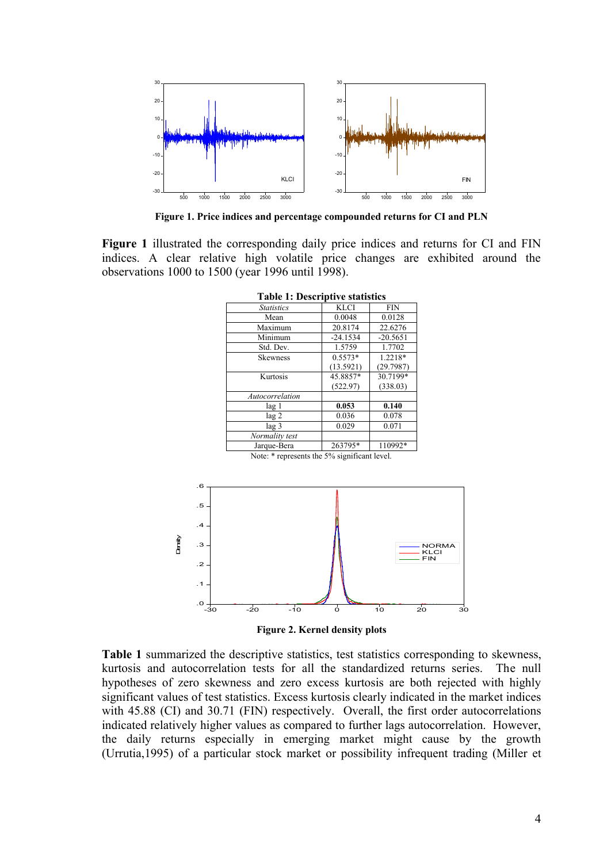

**Figure 1. Price indices and percentage compounded returns for CI and PLN**

**Figure 1** illustrated the corresponding daily price indices and returns for CI and FIN indices. A clear relative high volatile price changes are exhibited around the observations 1000 to 1500 (year 1996 until 1998).

| Labit 1. Descriptive statistics |             |            |  |  |  |  |  |  |
|---------------------------------|-------------|------------|--|--|--|--|--|--|
| <i>Statistics</i>               | <b>KLCI</b> | <b>FIN</b> |  |  |  |  |  |  |
| Mean                            | 0.0048      | 0.0128     |  |  |  |  |  |  |
| Maximum                         | 20.8174     | 22.6276    |  |  |  |  |  |  |
| Minimum                         | $-24.1534$  | $-20.5651$ |  |  |  |  |  |  |
| Std. Dev.                       | 1.5759      | 1.7702     |  |  |  |  |  |  |
| <b>Skewness</b>                 | $0.5573*$   | 1.2218*    |  |  |  |  |  |  |
|                                 | (13.5921)   | (29.7987)  |  |  |  |  |  |  |
| Kurtosis                        | 45.8857*    | 30.7199*   |  |  |  |  |  |  |
|                                 | (522.97)    | (338.03)   |  |  |  |  |  |  |
| Autocorrelation                 |             |            |  |  |  |  |  |  |
| lag 1                           | 0.053       | 0.140      |  |  |  |  |  |  |
| $\log 2$                        | 0.036       | 0.078      |  |  |  |  |  |  |
| lag 3                           | 0.029       | 0.071      |  |  |  |  |  |  |
| Normality test                  |             |            |  |  |  |  |  |  |
| Jarque-Bera                     | 263795*     | 110992*    |  |  |  |  |  |  |

**Table 1: Descriptive statistics**

Note: \* represents the 5% significant level.



**Figure 2. Kernel density plots**

**Table 1** summarized the descriptive statistics, test statistics corresponding to skewness, kurtosis and autocorrelation tests for all the standardized returns series. The null hypotheses of zero skewness and zero excess kurtosis are both rejected with highly significant values of test statistics. Excess kurtosis clearly indicated in the market indices with 45.88 (CI) and 30.71 (FIN) respectively. Overall, the first order autocorrelations indicated relatively higher values as compared to further lags autocorrelation. However, the daily returns especially in emerging market might cause by the growth (Urrutia,1995) of a particular stock market or possibility infrequent trading (Miller et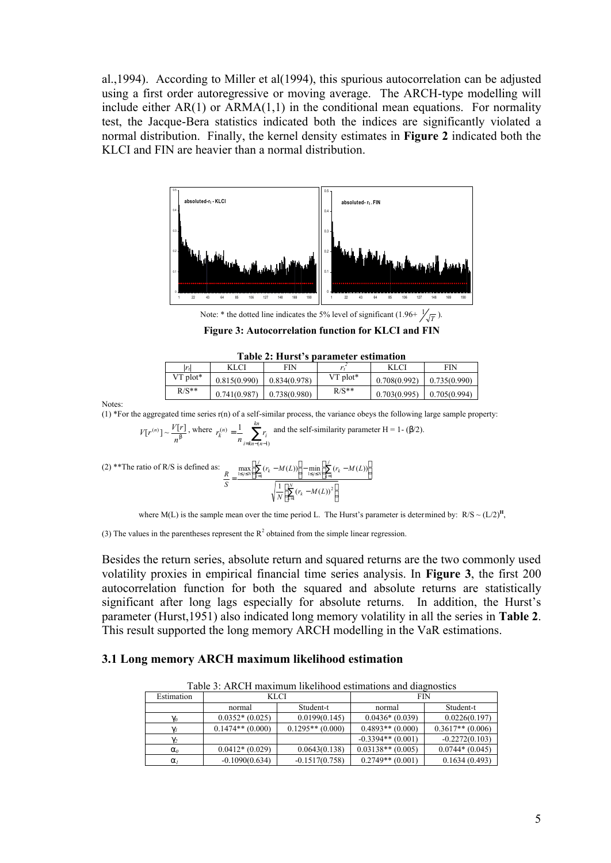al.,1994). According to Miller et al(1994), this spurious autocorrelation can be adjusted using a first order autoregressive or moving average. The ARCH-type modelling will include either  $AR(1)$  or  $ARMA(1,1)$  in the conditional mean equations. For normality test, the Jacque-Bera statistics indicated both the indices are significantly violated a normal distribution. Finally, the kernel density estimates in **Figure 2** indicated both the KLCI and FIN are heavier than a normal distribution.



Note: \* the dotted line indicates the 5% level of significant  $(1.96 + \frac{1}{\sqrt{T}})$ .

**Figure 3: Autocorrelation function for KLCI and FIN**

| Table 2: Hurst's parameter estimation |              |              |                        |                             |              |  |  |  |  |
|---------------------------------------|--------------|--------------|------------------------|-----------------------------|--------------|--|--|--|--|
| lr,l                                  | <b>KLCI</b>  | FIN          |                        | <b>KLCI</b>                 | FIN          |  |  |  |  |
| $VT$ plot*                            | 0.815(0.990) | 0.834(0.978) | $VT$ plot <sup>*</sup> | 0.708(0.992)                | 0.735(0.990) |  |  |  |  |
| $R/S**$                               | 0.741(0.987) | 0.738(0.980) | $R/S^*$                | $0.703(0.995)$ 0.705(0.994) |              |  |  |  |  |

Notes:

(1) \*For the aggregated time series r(n) of a self-similar process, the variance obeys the following large sample property:

$$
V[r^{(n)}] \sim \frac{V[r]}{n^b}
$$
, where  $r_k^{(n)} = \frac{1}{n} \sum_{i=kn-(n-1)}^{kn} r_i$  and the self-similarity parameter H = 1- (β/2).

(2) \*\*The ratio of R/S is defined as: 
$$
\frac{R}{S} = \frac{\max\left[\sum_{k=1}^{j} (r_k - M(L))\right] - \min\left[\sum_{k=1}^{j} (r_k - M(L))\right]}{\sqrt{\frac{1}{N} \left[\sum_{k=1}^{N} (r_k - M(L))\right]^2}}
$$

where M(L) is the sample mean over the time period L. The Hurst's parameter is determined by:  $R/S \sim (L/2)^{H}$ ,

(3) The values in the parentheses represent the  $R^2$  obtained from the simple linear regression.

Besides the return series, absolute return and squared returns are the two commonly used volatility proxies in empirical financial time series analysis. In **Figure 3**, the first 200 autocorrelation function for both the squared and absolute returns are statistically significant after long lags especially for absolute returns. In addition, the Hurst's parameter (Hurst,1951) also indicated long memory volatility in all the series in **Table 2**. This result supported the long memory ARCH modelling in the VaR estimations.

#### **3.1 Long memory ARCH maximum likelihood estimation**

| Table 3: ARCH maximum likelihood estimations and diagnostics |                     |                    |                     |                    |  |  |  |  |
|--------------------------------------------------------------|---------------------|--------------------|---------------------|--------------------|--|--|--|--|
| Estimation                                                   | KLCI                |                    | <b>FIN</b>          |                    |  |  |  |  |
|                                                              | Student-t<br>normal |                    | normal              | Student-t          |  |  |  |  |
| $g_{o}$                                                      | $0.0352*(0.025)$    | 0.0199(0.145)      | $0.0436*(0.039)$    | 0.0226(0.197)      |  |  |  |  |
| q,                                                           | $0.1474**$ (0.000)  | $0.1295**$ (0.000) | $0.4893**$ (0.000)  | $0.3617**$ (0.006) |  |  |  |  |
| $g_2$                                                        |                     |                    | $-0.3394**$ (0.001) | $-0.2272(0.103)$   |  |  |  |  |
| a <sub>0</sub>                                               | $0.0412*(0.029)$    | 0.0643(0.138)      | $0.03138**$ (0.005) | $0.0744*(0.045)$   |  |  |  |  |
| $a_{I}$                                                      | $-0.1090(0.634)$    | $-0.1517(0.758)$   | $0.2749**$ (0.001)  | 0.1634(0.493)      |  |  |  |  |

Table 3: ARCH maximum likelihood estimations and diagnostics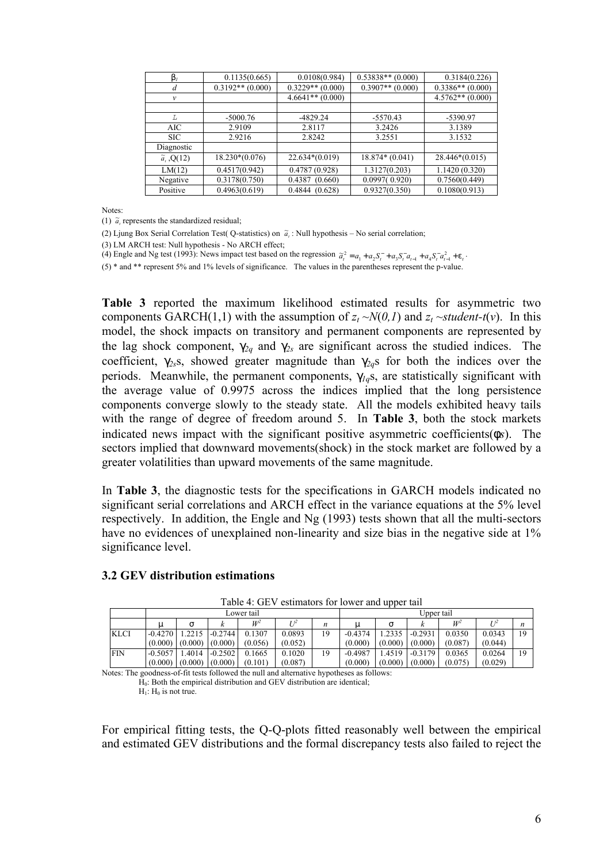| b <sub>I</sub>      | 0.1135(0.665)      | 0.0108(0.984)      | $0.53838**$ (0.000) | 0.3184(0.226)      |
|---------------------|--------------------|--------------------|---------------------|--------------------|
| d                   | $0.3192**$ (0.000) | $0.3229**$ (0.000) | $0.3907**$ (0.000)  | $0.3386**$ (0.000) |
| $\mathcal V$        |                    | $4.6641**$ (0.000) |                     | $4.5762**$ (0.000) |
|                     |                    |                    |                     |                    |
| L                   | $-5000.76$         | $-4829.24$         | $-5570.43$          | -5390.97           |
| AIC.                | 2.9109             | 2.8117             | 3.2426              | 3.1389             |
| <b>SIC</b>          | 2.9216             | 2.8242             | 3.2551              | 3.1532             |
| Diagnostic          |                    |                    |                     |                    |
| $\tilde{a}$ , Q(12) | $18.230*(0.076)$   | $22.634*(0.019)$   | $18.874*(0.041)$    | $28.446*(0.015)$   |
| LM(12)              | 0.4517(0.942)      | 0.4787(0.928)      | 1.3127(0.203)       | 1.1420(0.320)      |
| Negative            | 0.3178(0.750)      | 0.4387(0.660)      | 0.0997(0.920)       | 0.7560(0.449)      |
| Positive            | 0.4963(0.619)      | 0.4844(0.628)      | 0.9327(0.350)       | 0.1080(0.913)      |
|                     |                    |                    |                     |                    |

Notes:

(1)  $\tilde{a}$ , represents the standardized residual;

(2) Ljung Box Serial Correlation Test( Q-statistics) on  $\tilde{a}_i$ : Null hypothesis – No serial correlation;

(3) LM ARCH test: Null hypothesis - No ARCH effect;

(4) Engle and Ng test (1993): News impact test based on the regression  $\tilde{a}_i^2 = a_1 + a_2 S_i^- + a_3 S_i^- a_{i-1} + a_4 S_i^- a_{i-1}^2 + e_i$ .

(5) \* and \*\* represent 5% and 1% levels of significance. The values in the parentheses represent the p-value.

**Table 3** reported the maximum likelihood estimated results for asymmetric two components GARCH(1,1) with the assumption of  $z_t \sim N(0, I)$  and  $z_t \sim student-t(v)$ . In this model, the shock impacts on transitory and permanent components are represented by the lag shock component,  $g_{2q}$  and  $g_{2s}$  are significant across the studied indices. The coefficient,  $g_{2s}$ s, showed greater magnitude than  $g_{2q}$ s for both the indices over the periods. Meanwhile, the permanent components, *g1q*s, are statistically significant with the average value of 0.9975 across the indices implied that the long persistence components converge slowly to the steady state. All the models exhibited heavy tails with the range of degree of freedom around 5. In **Table 3**, both the stock markets indicated news impact with the significant positive asymmetric coefficients(*fs*). The sectors implied that downward movements(shock) in the stock market are followed by a greater volatilities than upward movements of the same magnitude.

In **Table 3**, the diagnostic tests for the specifications in GARCH models indicated no significant serial correlations and ARCH effect in the variance equations at the 5% level respectively. In addition, the Engle and Ng (1993) tests shown that all the multi-sectors have no evidences of unexplained non-linearity and size bias in the negative side at 1% significance level.

| Table 4: GEV estimators for lower and upper tail |           |         |           |            |         |    |           |         |            |         |         |
|--------------------------------------------------|-----------|---------|-----------|------------|---------|----|-----------|---------|------------|---------|---------|
|                                                  |           |         |           | Lower tail |         |    |           |         | Upper tail |         |         |
|                                                  | m         | S       |           | $W^2$      |         | n  | m         | S       |            | $W^2$   |         |
| <b>KLCI</b>                                      | $-0.4270$ | 1.2215  | $-0.2744$ | 0.1307     | 0.0893  | 19 | $-0.4374$ | .2335   | $-0.2931$  | 0.0350  | 0.0343  |
|                                                  | (0.000)   | (0.000) | (0.000)   | (0.056)    | (0.052) |    | (0.000)   | (0.000) | (0.000)    | (0.087) | (0.044) |
| <b>FIN</b>                                       | $-0.5057$ | .4014   | $-0.2502$ | 0.1665     | 0.1020  | 19 | $-0.4987$ | .4519   | $-0.3179$  | 0.0365  | 0.0264  |

(0.087)

#### **3.2 GEV distribution estimations**

(0.000)

(0.000)

Notes: The goodness-of-fit tests followed the null and alternative hypotheses as follows:  $H<sub>0</sub>$ : Both the empirical distribution and GEV distribution are identical;  $H_1$ :  $H_0$  is not true.

(0.101)

(0.000)

For empirical fitting tests, the Q-Q-plots fitted reasonably well between the empirical and estimated GEV distributions and the formal discrepancy tests also failed to reject the

(0.000)

(0.000)

(0.000)

(0.075) (0.029)

*n*

19

19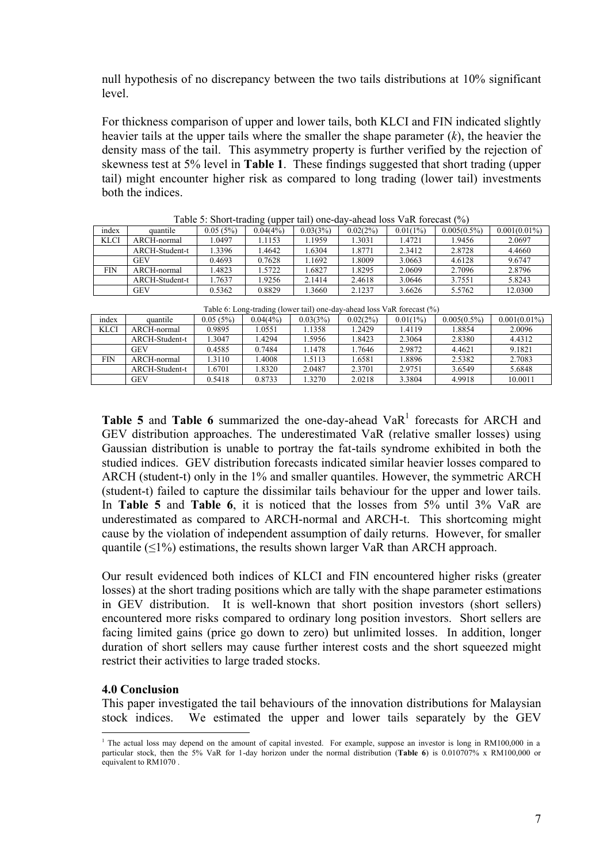null hypothesis of no discrepancy between the two tails distributions at 10% significant level.

For thickness comparison of upper and lower tails, both KLCI and FIN indicated slightly heavier tails at the upper tails where the smaller the shape parameter (*k*), the heavier the density mass of the tail. This asymmetry property is further verified by the rejection of skewness test at 5% level in **Table 1**. These findings suggested that short trading (upper tail) might encounter higher risk as compared to long trading (lower tail) investments both the indices.

| - סייר ה    |                |          |          |          |          |          |                |                 |
|-------------|----------------|----------|----------|----------|----------|----------|----------------|-----------------|
| index       | quantile       | 0.05(5%) | 0.04(4%) | 0.03(3%) | 0.02(2%) | 0.01(1%) | $0.005(0.5\%)$ | $0.001(0.01\%)$ |
| <b>KLCI</b> | ARCH-normal    | 1.0497   | 1.1153   | 1.1959   | .3031    | .4721    | 1.9456         | 2.0697          |
|             | ARCH-Student-t | 1.3396   | 1.4642   | 1.6304   | .8771    | 2.3412   | 2.8728         | 4.4660          |
|             | <b>GEV</b>     | 0.4693   | 0.7628   | 1.1692   | .8009    | 3.0663   | 4.6128         | 9.6747          |
| FIN         | ARCH-normal    | .4823    | 1.5722   | 1.6827   | .8295    | 2.0609   | 2.7096         | 2.8796          |
|             | ARCH-Student-t | .7637    | 1.9256   | 2.1414   | 2.4618   | 3.0646   | 3.7551         | 5.8243          |
|             | <b>GEV</b>     | 0.5362   | 0.8829   | .3660    | 2.1237   | 3.6626   | 5.5762         | 12.0300         |

Table 5: Short-trading (upper tail) one-day-ahead loss VaR forecast  $(%)$ 

|             | Table 6: Long-trading (lower tail) one-day-anead loss vary forecast (%) |          |          |          |          |          |                |                 |  |
|-------------|-------------------------------------------------------------------------|----------|----------|----------|----------|----------|----------------|-----------------|--|
| index       | quantile                                                                | 0.05(5%) | 0.04(4%) | 0.03(3%) | 0.02(2%) | 0.01(1%) | $0.005(0.5\%)$ | $0.001(0.01\%)$ |  |
| <b>KLCI</b> | ARCH-normal                                                             | 0.9895   | .0551    | .1358    | . 2429   | 1.4119   | l.8854         | 2.0096          |  |
|             | ARCH-Student-t                                                          | .3047    | .4294    | .5956    | 1.8423   | 2.3064   | 2.8380         | 4.4312          |  |
|             | <b>GEV</b>                                                              | 0.4585   | 0.7484   | .1478    | .7646    | 2.9872   | 4.4621         | 9.1821          |  |
| FIN         | ARCH-normal                                                             | .3110    | .4008    | .5113    | .6581    | .8896    | 2.5382         | 2.7083          |  |
|             | ARCH-Student-t                                                          | .6701    | .8320    | 2.0487   | 2.3701   | 2.9751   | 3.6549         | 5.6848          |  |
|             | <b>GEV</b>                                                              | 0.5418   | 0.8733   | .3270    | 2.0218   | 3.3804   | 4.9918         | 10.0011         |  |

Table 6: Long-trading (lower tail) one-day-ahead loss VaR forecast (%)

**Table 5** and **Table 6** summarized the one-day-ahead  $VaR<sup>1</sup>$  forecasts for ARCH and GEV distribution approaches. The underestimated VaR (relative smaller losses) using Gaussian distribution is unable to portray the fat-tails syndrome exhibited in both the studied indices. GEV distribution forecasts indicated similar heavier losses compared to ARCH (student-t) only in the 1% and smaller quantiles. However, the symmetric ARCH (student-t) failed to capture the dissimilar tails behaviour for the upper and lower tails. In **Table 5** and **Table 6**, it is noticed that the losses from 5% until 3% VaR are underestimated as compared to ARCH-normal and ARCH-t. This shortcoming might cause by the violation of independent assumption of daily returns. However, for smaller quantile  $(\leq 1\%)$  estimations, the results shown larger VaR than ARCH approach.

Our result evidenced both indices of KLCI and FIN encountered higher risks (greater losses) at the short trading positions which are tally with the shape parameter estimations in GEV distribution. It is well-known that short position investors (short sellers) encountered more risks compared to ordinary long position investors. Short sellers are facing limited gains (price go down to zero) but unlimited losses. In addition, longer duration of short sellers may cause further interest costs and the short squeezed might restrict their activities to large traded stocks.

## **4.0 Conclusion**

This paper investigated the tail behaviours of the innovation distributions for Malaysian stock indices. We estimated the upper and lower tails separately by the GEV

 <sup>1</sup> The actual loss may depend on the amount of capital invested. For example, suppose an investor is long in RM100,000 in a particular stock, then the 5% VaR for 1-day horizon under the normal distribution (**Table 6**) is 0.010707% x RM100,000 or equivalent to RM1070 .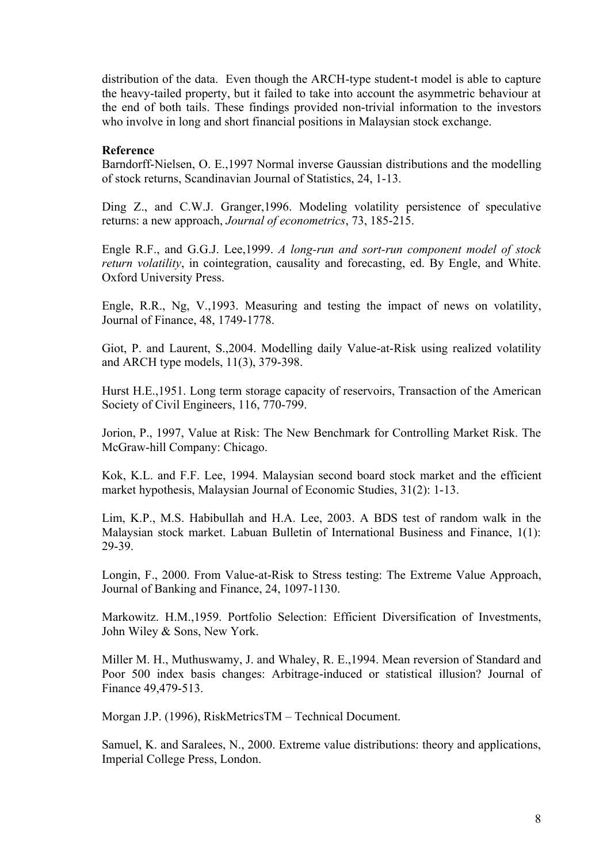distribution of the data. Even though the ARCH-type student-t model is able to capture the heavy-tailed property, but it failed to take into account the asymmetric behaviour at the end of both tails. These findings provided non-trivial information to the investors who involve in long and short financial positions in Malaysian stock exchange.

# **Reference**

Barndorff-Nielsen, O. E.,1997 Normal inverse Gaussian distributions and the modelling of stock returns, Scandinavian Journal of Statistics, 24, 1-13.

Ding Z., and C.W.J. Granger,1996. Modeling volatility persistence of speculative returns: a new approach, *Journal of econometrics*, 73, 185-215.

Engle R.F., and G.G.J. Lee,1999. *A long-run and sort-run component model of stock return volatility*, in cointegration, causality and forecasting, ed. By Engle, and White. Oxford University Press.

Engle, R.R., Ng, V.,1993. Measuring and testing the impact of news on volatility, Journal of Finance, 48, 1749-1778.

Giot, P. and Laurent, S.,2004. Modelling daily Value-at-Risk using realized volatility and ARCH type models, 11(3), 379-398.

Hurst H.E.,1951. Long term storage capacity of reservoirs, Transaction of the American Society of Civil Engineers, 116, 770-799.

Jorion, P., 1997, Value at Risk: The New Benchmark for Controlling Market Risk. The McGraw-hill Company: Chicago.

Kok, K.L. and F.F. Lee, 1994. Malaysian second board stock market and the efficient market hypothesis, Malaysian Journal of Economic Studies, 31(2): 1-13.

Lim, K.P., M.S. Habibullah and H.A. Lee, 2003. A BDS test of random walk in the Malaysian stock market. Labuan Bulletin of International Business and Finance, 1(1): 29-39.

Longin, F., 2000. From Value-at-Risk to Stress testing: The Extreme Value Approach, Journal of Banking and Finance, 24, 1097-1130.

Markowitz. H.M.,1959. Portfolio Selection: Efficient Diversification of Investments, John Wiley & Sons, New York.

Miller M. H., Muthuswamy, J. and Whaley, R. E.,1994. Mean reversion of Standard and Poor 500 index basis changes: Arbitrage-induced or statistical illusion? Journal of Finance 49,479-513.

Morgan J.P. (1996), RiskMetricsTM – Technical Document.

Samuel, K. and Saralees, N., 2000. Extreme value distributions: theory and applications, Imperial College Press, London.